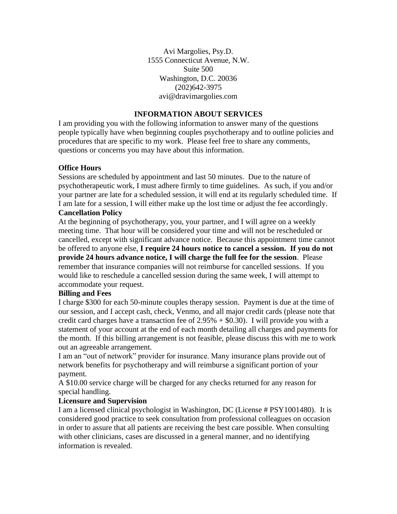Avi Margolies, Psy.D. 1555 Connecticut Avenue, N.W. Suite 500 Washington, D.C. 20036 (202)642-3975 avi@dravimargolies.com

# **INFORMATION ABOUT SERVICES**

I am providing you with the following information to answer many of the questions people typically have when beginning couples psychotherapy and to outline policies and procedures that are specific to my work. Please feel free to share any comments, questions or concerns you may have about this information.

## **Office Hours**

Sessions are scheduled by appointment and last 50 minutes. Due to the nature of psychotherapeutic work, I must adhere firmly to time guidelines. As such, if you and/or your partner are late for a scheduled session, it will end at its regularly scheduled time. If I am late for a session, I will either make up the lost time or adjust the fee accordingly. **Cancellation Policy**

At the beginning of psychotherapy, you, your partner, and I will agree on a weekly meeting time. That hour will be considered your time and will not be rescheduled or cancelled, except with significant advance notice. Because this appointment time cannot be offered to anyone else, **I require 24 hours notice to cancel a session. If you do not provide 24 hours advance notice, I will charge the full fee for the session**. Please remember that insurance companies will not reimburse for cancelled sessions. If you would like to reschedule a cancelled session during the same week, I will attempt to accommodate your request.

#### **Billing and Fees**

I charge \$300 for each 50-minute couples therapy session. Payment is due at the time of our session, and I accept cash, check, Venmo, and all major credit cards (please note that credit card charges have a transaction fee of  $2.95% + $0.30$ . I will provide you with a statement of your account at the end of each month detailing all charges and payments for the month. If this billing arrangement is not feasible, please discuss this with me to work out an agreeable arrangement.

I am an "out of network" provider for insurance. Many insurance plans provide out of network benefits for psychotherapy and will reimburse a significant portion of your payment.

A \$10.00 service charge will be charged for any checks returned for any reason for special handling.

#### **Licensure and Supervision**

I am a licensed clinical psychologist in Washington, DC (License # PSY1001480). It is considered good practice to seek consultation from professional colleagues on occasion in order to assure that all patients are receiving the best care possible. When consulting with other clinicians, cases are discussed in a general manner, and no identifying information is revealed.